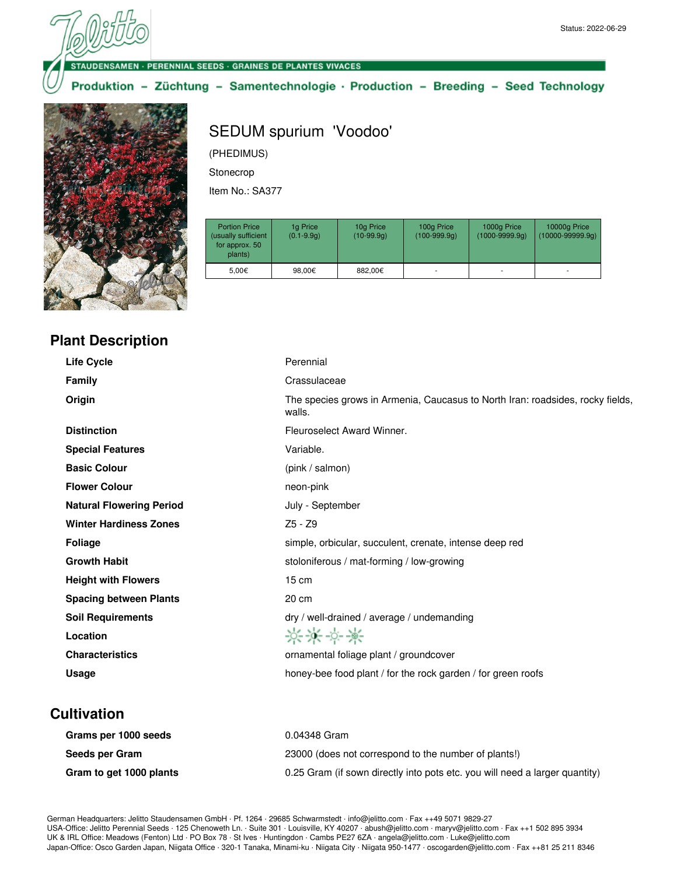#### **VSAMEN · PERENNIAL SEEDS · GRAINES DE PLANTES VIVACES**

#### Produktion - Züchtung - Samentechnologie · Production - Breeding - Seed Technology



# SEDUM spurium 'Voodoo'

(PHEDIMUS)

Stonecrop

Item No.: SA377

| <b>Portion Price</b><br>(usually sufficient<br>for approx. 50<br>plants) | 1g Price<br>$(0.1 - 9.9q)$ | 10g Price<br>$(10-99.9q)$ | 100g Price<br>$(100-999.9q)$ | 1000g Price<br>$(1000 - 9999.9q)$ | 10000g Price<br>$(10000 - 99999.9q)$ |
|--------------------------------------------------------------------------|----------------------------|---------------------------|------------------------------|-----------------------------------|--------------------------------------|
| 5.00€                                                                    | 98.00€                     | 882.00€                   | ۰                            |                                   | $\overline{\phantom{a}}$             |

## **Plant Description**

| <b>Life Cycle</b>               | Perennial                                                                                |
|---------------------------------|------------------------------------------------------------------------------------------|
| <b>Family</b>                   | Crassulaceae                                                                             |
| Origin                          | The species grows in Armenia, Caucasus to North Iran: roadsides, rocky fields,<br>walls. |
| <b>Distinction</b>              | Fleuroselect Award Winner.                                                               |
| <b>Special Features</b>         | Variable.                                                                                |
| <b>Basic Colour</b>             | (pink / salmon)                                                                          |
| <b>Flower Colour</b>            | neon-pink                                                                                |
| <b>Natural Flowering Period</b> | July - September                                                                         |
| <b>Winter Hardiness Zones</b>   | $Z5 - Z9$                                                                                |
| <b>Foliage</b>                  | simple, orbicular, succulent, crenate, intense deep red                                  |
| <b>Growth Habit</b>             | stoloniferous / mat-forming / low-growing                                                |
| <b>Height with Flowers</b>      | $15 \text{ cm}$                                                                          |
| <b>Spacing between Plants</b>   | 20 cm                                                                                    |
| <b>Soil Requirements</b>        | dry / well-drained / average / undemanding                                               |
| Location                        | ****                                                                                     |
| <b>Characteristics</b>          | ornamental foliage plant / groundcover                                                   |
| Usage                           | honey-bee food plant / for the rock garden / for green roofs                             |
|                                 |                                                                                          |

### **Cultivation**

| Grams per 1000 seeds    | 0.04348 Gram                                                                |
|-------------------------|-----------------------------------------------------------------------------|
| Seeds per Gram          | 23000 (does not correspond to the number of plants!)                        |
| Gram to get 1000 plants | 0.25 Gram (if sown directly into pots etc. you will need a larger quantity) |